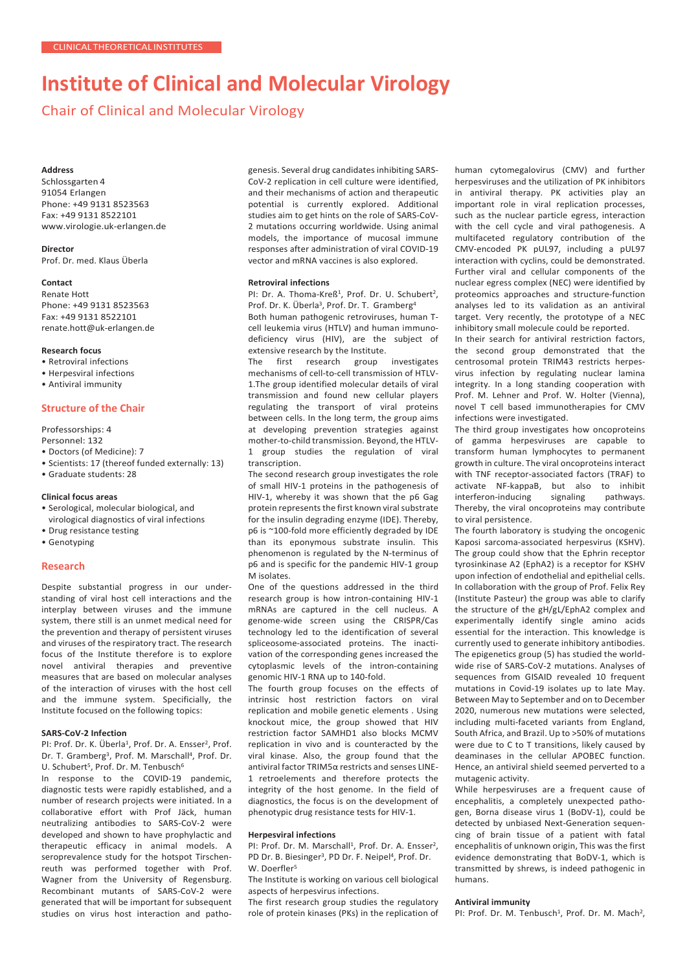# **Institute of Clinical and Molecular Virology**

Chair of Clinical and Molecular Virology

#### **Address**

Schlossgarten 4 91054 Erlangen Phone: +49 9131 8523563 Fax: +49 9131 8522101 [www.virologie.uk-erlangen.de](http://www.virologie.uk-erlangen.de/)

## **Director**

Prof. Dr. med. Klaus Überla

## **Contact**

Renate Hott Phone: +49 9131 8523563 Fax: +49 9131 8522101 [renate.hott@uk-erlangen.de](mailto:renate.hott@uk-erlangen.de)

## **Research focus**

- Retroviral infections
- Herpesviral infections
- Antiviral immunity

# **Structure of the Chair**

#### Professorships: 4

- Personnel: 132
- Doctors (of Medicine): 7
- Scientists: 17 (thereof funded externally: 13)
- Graduate students: 28

## **Clinical focus areas**

- Serological, molecular biological, and virological diagnostics of viral infections
- Drug resistance testing
- Genotyping

#### **Research**

Despite substantial progress in our understanding of viral host cell interactions and the interplay between viruses and the immune system, there still is an unmet medical need for the prevention and therapy of persistent viruses and viruses of the respiratory tract. The research focus of the Institute therefore is to explore novel antiviral therapies and preventive measures that are based on molecular analyses of the interaction of viruses with the host cell and the immune system. Specificially, the Institute focused on the following topics:

#### **SARS-CoV-2 Infection**

PI: Prof. Dr. K. Überla<sup>1</sup>, Prof. Dr. A. Ensser<sup>2</sup>, Prof. Dr. T. Gramberg<sup>3</sup>, Prof. M. Marschall<sup>4</sup>, Prof. Dr. U. Schubert<sup>5</sup>, Prof. Dr. M. Tenbusch<sup>6</sup>

In response to the COVID-19 pandemic, diagnostic tests were rapidly established, and a number of research projects were initiated. In a collaborative effort with Prof Jäck, human neutralizing antibodies to SARS-CoV-2 were developed and shown to have prophylactic and therapeutic efficacy in animal models. A seroprevalence study for the hotspot Tirschenreuth was performed together with Prof. Wagner from the University of Regensburg. Recombinant mutants of SARS-CoV-2 were generated that will be important for subsequent studies on virus host interaction and pathogenesis. Several drug candidates inhibiting SARS-CoV-2 replication in cell culture were identified, and their mechanisms of action and therapeutic potential is currently explored. Additional studies aim to get hints on the role of SARS-CoV-2 mutations occurring worldwide. Using animal models, the importance of mucosal immune responses after administration of viral COVID-19 vector and mRNA vaccines is also explored.

#### **Retroviral infections**

PI: Dr. A. Thoma-Kreß<sup>1</sup>, Prof. Dr. U. Schubert<sup>2</sup>, Prof. Dr. K. Überla<sup>3</sup>, Prof. Dr. T. Gramberg<sup>4</sup>

Both human pathogenic retroviruses, human Tcell leukemia virus (HTLV) and human immunodeficiency virus (HIV), are the subject of extensive research by the Institute.

The first research group investigates mechanisms of cell-to-cell transmission of HTLV-1.The group identified molecular details of viral transmission and found new cellular players regulating the transport of viral proteins between cells. In the long term, the group aims at developing prevention strategies against mother-to-child transmission. Beyond, the HTLV-1 group studies the regulation of viral transcription.

The second research group investigates the role of small HIV-1 proteins in the pathogenesis of HIV-1, whereby it was shown that the p6 Gag protein represents the first known viral substrate for the insulin degrading enzyme (IDE). Thereby, p6 is ~100-fold more efficiently degraded by IDE than its eponymous substrate insulin. This phenomenon is regulated by the N-terminus of p6 and is specific for the pandemic HIV-1 group M isolates.

One of the questions addressed in the third research group is how intron-containing HIV-1 mRNAs are captured in the cell nucleus. A genome-wide screen using the CRISPR/Cas technology led to the identification of several spliceosome-associated proteins. The inactivation of the corresponding genes increased the cytoplasmic levels of the intron-containing genomic HIV-1 RNA up to 140-fold.

The fourth group focuses on the effects of intrinsic host restriction factors on viral replication and mobile genetic elements . Using knockout mice, the group showed that HIV restriction factor SAMHD1 also blocks MCMV replication in vivo and is counteracted by the viral kinase. Also, the group found that the antiviral factor TRIM5α restricts and senses LINE-1 retroelements and therefore protects the integrity of the host genome. In the field of diagnostics, the focus is on the development of phenotypic drug resistance tests for HIV-1.

#### **Herpesviral infections**

PI: Prof. Dr. M. Marschall<sup>1</sup>. Prof. Dr. A. Ensser<sup>2</sup>. PD Dr. B. Biesinger<sup>3</sup>, PD Dr. F. Neipel<sup>4</sup>, Prof. Dr. W. Doerfler<sup>5</sup>

The Institute is working on various cell biological aspects of herpesvirus infections.

The first research group studies the regulatory role of protein kinases (PKs) in the replication of

human cytomegalovirus (CMV) and further herpesviruses and the utilization of PK inhibitors in antiviral therapy. PK activities play an important role in viral replication processes, such as the nuclear particle egress, interaction with the cell cycle and viral pathogenesis. A multifaceted regulatory contribution of the CMV-encoded PK pUL97, including a pUL97 interaction with cyclins, could be demonstrated. Further viral and cellular components of the nuclear egress complex (NEC) were identified by proteomics approaches and structure-function analyses led to its validation as an antiviral target. Very recently, the prototype of a NEC inhibitory small molecule could be reported.

In their search for antiviral restriction factors, the second group demonstrated that the centrosomal protein TRIM43 restricts herpesvirus infection by regulating nuclear lamina integrity. In a long standing cooperation with Prof. M. Lehner and Prof. W. Holter (Vienna), novel T cell based immunotherapies for CMV infections were investigated.

The third group investigates how oncoproteins of gamma herpesviruses are capable to transform human lymphocytes to permanent growth in culture. The viral oncoproteins interact with TNF receptor-associated factors (TRAF) to activate NF-kappaB, but also to inhibit interferon-inducing signaling pathways. Thereby, the viral oncoproteins may contribute to viral persistence.

The fourth laboratory is studying the oncogenic Kaposi sarcoma-associated herpesvirus (KSHV). The group could show that the Ephrin receptor tyrosinkinase A2 (EphA2) is a receptor for KSHV upon infection of endothelial and epithelial cells. In collaboration with the group of Prof. Felix Rey (Institute Pasteur) the group was able to clarify the structure of the gH/gL/EphA2 complex and experimentally identify single amino acids essential for the interaction. This knowledge is currently used to generate inhibitory antibodies. The epigenetics group (5) has studied the worldwide rise of SARS-CoV-2 mutations. Analyses of sequences from GISAID revealed 10 frequent mutations in Covid-19 isolates up to late May. Between May to September and on to December 2020, numerous new mutations were selected, including multi-faceted variants from England, South Africa, and Brazil. Up to >50% of mutations were due to C to T transitions, likely caused by deaminases in the cellular APOBEC function. Hence, an antiviral shield seemed perverted to a mutagenic activity.

While herpesviruses are a frequent cause of encephalitis, a completely unexpected pathogen, Borna disease virus 1 (BoDV-1), could be detected by unbiased Next-Generation sequencing of brain tissue of a patient with fatal encephalitis of unknown origin, This was the first evidence demonstrating that BoDV-1, which is transmitted by shrews, is indeed pathogenic in humans.

#### **Antiviral immunity**

PI: Prof. Dr. M. Tenbusch<sup>1</sup>, Prof. Dr. M. Mach<sup>2</sup>,